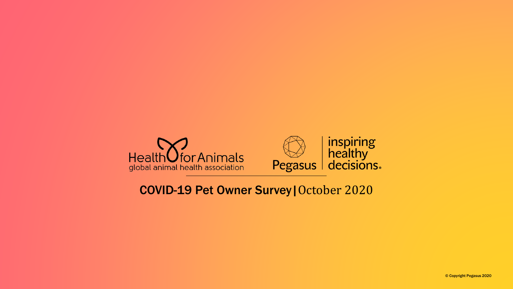

#### COVID-19 Pet Owner Survey|October 2020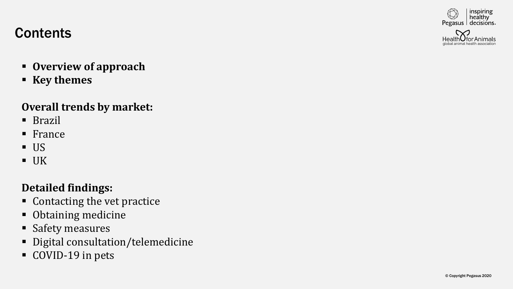

# **Contents**

- **Overview of approach**
- **Key themes**

#### **Overall trends by market:**

- Brazil
- France
- US
- $\blacksquare$  UK

#### **Detailed findings:**

- Contacting the vet practice
- Obtaining medicine
- Safety measures
- Digital consultation/telemedicine
- COVID-19 in pets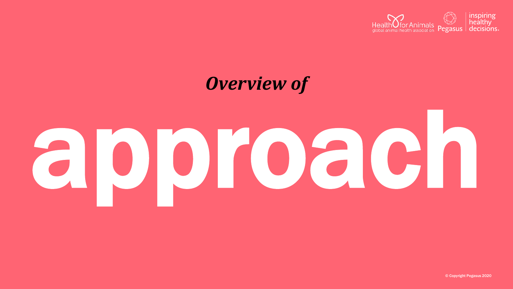

# *Overview of*

# approach

© Copyright Pegasus 2020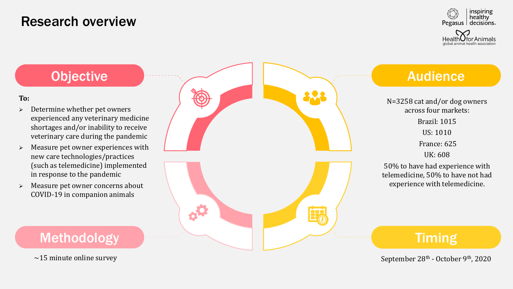#### Research overview



# **Objective**

#### **To:**

- ➢ Determine whether pet owners experienced any veterinary medicine shortages and/or inability to receive veterinary care during the pandemic
- ➢ Measure pet owner experiences with new care technologies/practices (such as telemedicine) implemented in response to the pandemic
- ➢ Measure pet owner concerns about COVID -19 in companion animals

Audience Timing N=3258 cat and/or dog owners across four markets: Brazil: 1015 US: 1010 France: 625 UK: 608 50% to have had experience with telemedicine, 50% to have not had experience with telemedicine.

#### Methodology

 $\sim$ 15 minute online survey

September 28<sup>th</sup> - October 9<sup>th</sup>, 2020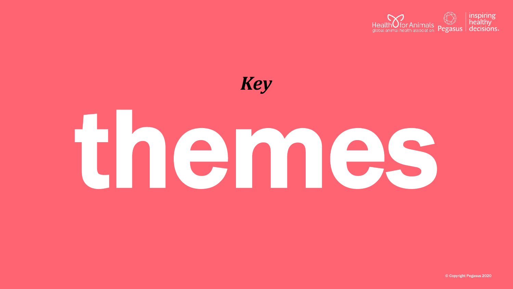

# *Key*

# themes

© Copyright Pegasus 2020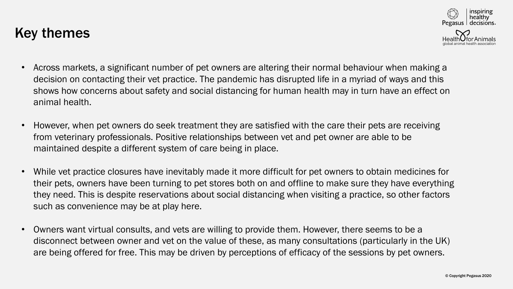# Key themes



- Across markets, a significant number of pet owners are altering their normal behaviour when making a decision on contacting their vet practice. The pandemic has disrupted life in a myriad of ways and this shows how concerns about safety and social distancing for human health may in turn have an effect on animal health.
- However, when pet owners do seek treatment they are satisfied with the care their pets are receiving from veterinary professionals. Positive relationships between vet and pet owner are able to be maintained despite a different system of care being in place.
- While vet practice closures have inevitably made it more difficult for pet owners to obtain medicines for their pets, owners have been turning to pet stores both on and offline to make sure they have everything they need. This is despite reservations about social distancing when visiting a practice, so other factors such as convenience may be at play here.
- Owners want virtual consults, and vets are willing to provide them. However, there seems to be a disconnect between owner and vet on the value of these, as many consultations (particularly in the UK) are being offered for free. This may be driven by perceptions of efficacy of the sessions by pet owners.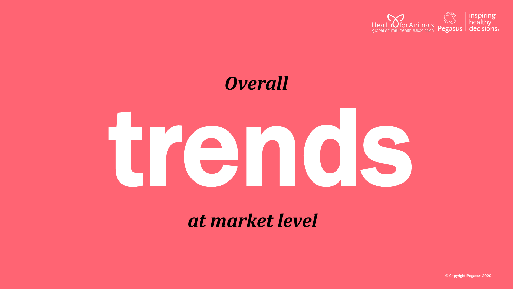

# trends *Overall*

*at market level*

© Copyright Pegasus 2020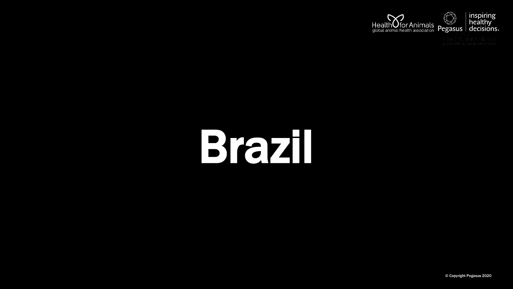

# Brazil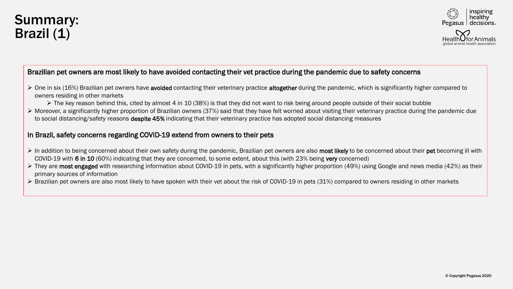



#### Brazilian pet owners are most likely to have avoided contacting their vet practice during the pandemic due to safety concerns

- ▶ One in six (16%) Brazilian pet owners have avoided contacting their veterinary practice altogether during the pandemic, which is significantly higher compared to owners residing in other markets
	- $\triangleright$  The key reason behind this, cited by almost 4 in 10 (38%) is that they did not want to risk being around people outside of their social bubble
- ➢ Moreover, a significantly higher proportion of Brazilian owners (37%) said that they have felt worried about visiting their veterinary practice during the pandemic due to social distancing/safety reasons despite 45% indicating that their veterinary practice has adopted social distancing measures

#### In Brazil, safety concerns regarding COVID-19 extend from owners to their pets

- ▶ In addition to being concerned about their own safety during the pandemic, Brazilian pet owners are also most likely to be concerned about their pet becoming ill with COVID-19 with 6 in 10 (60%) indicating that they are concerned, to some extent, about this (with 23% being very concerned)
- ▶ They are most engaged with researching information about COVID-19 in pets, with a significantly higher proportion (49%) using Google and news media (42%) as their primary sources of information
- ➢ Brazilian pet owners are also most likely to have spoken with their vet about the risk of COVID-19 in pets (31%) compared to owners residing in other markets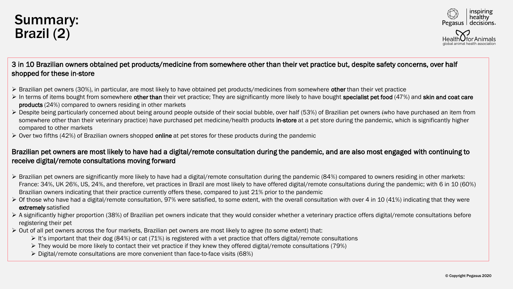#### Summary: Brazil (2)



#### 3 in 10 Brazilian owners obtained pet products/medicine from somewhere other than their vet practice but, despite safety concerns, over half shopped for these in-store

- ➢ Brazilian pet owners (30%), in particular, are most likely to have obtained pet products/medicines from somewhere other than their vet practice
- ▶ In terms of items bought from somewhere other than their vet practice; They are significantly more likely to have bought specialist pet food (47%) and skin and coat care products (24%) compared to owners residing in other markets
- ➢ Despite being particularly concerned about being around people outside of their social bubble, over half (53%) of Brazilian pet owners (who have purchased an item from somewhere other than their veterinary practice) have purchased pet medicine/health products in-store at a pet store during the pandemic, which is significantly higher compared to other markets
- $\triangleright$  Over two fifths (42%) of Brazilian owners shopped online at pet stores for these products during the pandemic

#### Brazilian pet owners are most likely to have had a digital/remote consultation during the pandemic, and are also most engaged with continuing to receive digital/remote consultations moving forward

- ➢ Brazilian pet owners are significantly more likely to have had a digital/remote consultation during the pandemic (84%) compared to owners residing in other markets: France: 34%, UK 26%, US, 24%, and therefore, vet practices in Brazil are most likely to have offered digital/remote consultations during the pandemic; with 6 in 10 (60%) Brazilian owners indicating that their practice currently offers these, compared to just 21% prior to the pandemic
- $\triangleright$  Of those who have had a digital/remote consultation, 97% were satisfied, to some extent, with the overall consultation with over 4 in 10 (41%) indicating that they were extremely satisfied
- ➢ A significantly higher proportion (38%) of Brazilian pet owners indicate that they would consider whether a veterinary practice offers digital/remote consultations before registering their pet
- ➢ Out of all pet owners across the four markets, Brazilian pet owners are most likely to agree (to some extent) that:
	- $\triangleright$  It's important that their dog (84%) or cat (71%) is registered with a vet practice that offers digital/remote consultations
	- $\triangleright$  They would be more likely to contact their vet practice if they knew they offered digital/remote consultations (79%)
	- ➢ Digital/remote consultations are more convenient than face-to-face visits (68%)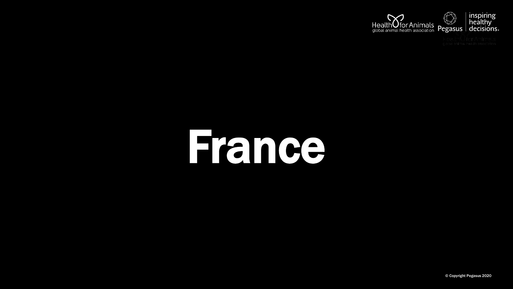

# France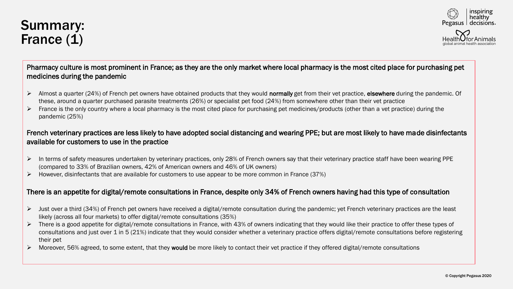## Summary: France (1)



Pharmacy culture is most prominent in France; as they are the only market where local pharmacy is the most cited place for purchasing pet medicines during the pandemic

- ➢ Almost a quarter (24%) of French pet owners have obtained products that they would normally get from their vet practice, elsewhere during the pandemic. Of these, around a quarter purchased parasite treatments (26%) or specialist pet food (24%) from somewhere other than their vet practice
- $\triangleright$  France is the only country where a local pharmacy is the most cited place for purchasing pet medicines/products (other than a vet practice) during the pandemic (25%)

#### French veterinary practices are less likely to have adopted social distancing and wearing PPE; but are most likely to have made disinfectants available for customers to use in the practice

- ➢ In terms of safety measures undertaken by veterinary practices, only 28% of French owners say that their veterinary practice staff have been wearing PPE (compared to 33% of Brazilian owners, 42% of American owners and 46% of UK owners)
- ➢ However, disinfectants that are available for customers to use appear to be more common in France (37%)

#### There is an appetite for digital/remote consultations in France, despite only 34% of French owners having had this type of consultation

- ➢ Just over a third (34%) of French pet owners have received a digital/remote consultation during the pandemic; yet French veterinary practices are the least likely (across all four markets) to offer digital/remote consultations (35%)
- ➢ There is a good appetite for digital/remote consultations in France, with 43% of owners indicating that they would like their practice to offer these types of consultations and just over 1 in 5 (21%) indicate that they would consider whether a veterinary practice offers digital/remote consultations before registering their pet
- Moreover, 56% agreed, to some extent, that they would be more likely to contact their vet practice if they offered digital/remote consultations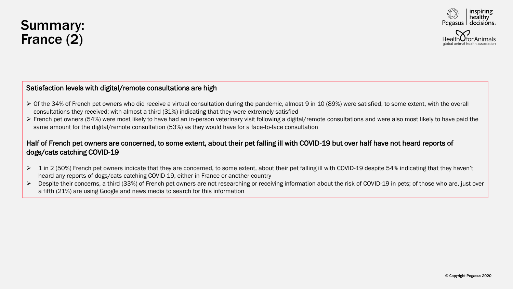



#### Satisfaction levels with digital/remote consultations are high

- ➢ Of the 34% of French pet owners who did receive a virtual consultation during the pandemic, almost 9 in 10 (89%) were satisfied, to some extent, with the overall consultations they received; with almost a third (31%) indicating that they were extremely satisfied
- ➢ French pet owners (54%) were most likely to have had an in-person veterinary visit following a digital/remote consultations and were also most likely to have paid the same amount for the digital/remote consultation (53%) as they would have for a face-to-face consultation

#### Half of French pet owners are concerned, to some extent, about their pet falling ill with COVID-19 but over half have not heard reports of dogs/cats catching COVID-19

- ➢ 1 in 2 (50%) French pet owners indicate that they are concerned, to some extent, about their pet falling ill with COVID-19 despite 54% indicating that they haven't heard any reports of dogs/cats catching COVID-19, either in France or another country
- ➢ Despite their concerns, a third (33%) of French pet owners are not researching or receiving information about the risk of COVID-19 in pets; of those who are, just over a fifth (21%) are using Google and news media to search for this information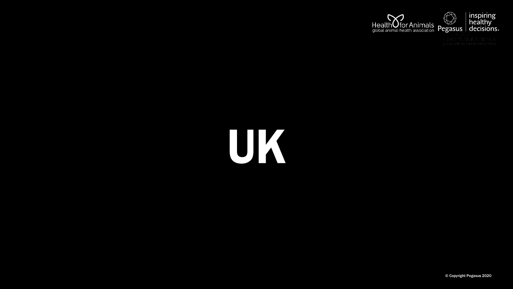

# UK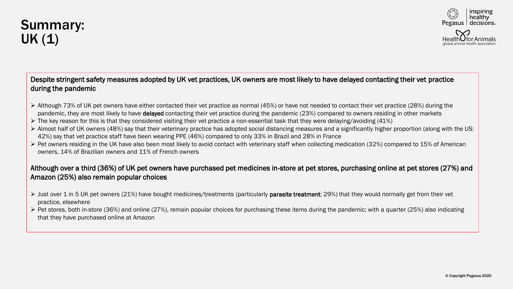# Summary: UK (1)



#### Despite stringent safety measures adopted by UK vet practices, UK owners are most likely to have delayed contacting their vet practice during the pandemic

- ➢ Although 73% of UK pet owners have either contacted their vet practice as normal (45%) or have not needed to contact their vet practice (28%) during the pandemic, they are most likely to have **delayed** contacting their vet practice during the pandemic (23%) compared to owners residing in other markets
- $\triangleright$  The key reason for this is that they considered visiting their vet practice a non-essential task that they were delaying/avoiding (41%)
- ➢ Almost half of UK owners (48%) say that their veterinary practice has adopted social distancing measures and a significantly higher proportion (along with the US: 42%) say that vet practice staff have been wearing PPE (46%) compared to only 33% in Brazil and 28% in France
- ➢ Pet owners residing in the UK have also been most likely to avoid contact with veterinary staff when collecting medication (32%) compared to 15% of American owners, 14% of Brazilian owners and 11% of French owners

#### Although over a third (36%) of UK pet owners have purchased pet medicines in-store at pet stores, purchasing online at pet stores (27%) and Amazon (25%) also remain popular choices

- ► Just over 1 in 5 UK pet owners (21%) have bought medicines/treatments (particularly parasite treatment: 29%) that they would normally get from their vet practice, elsewhere
- $\triangleright$  Pet stores, both in-store (36%) and online (27%), remain popular choices for purchasing these items during the pandemic; with a quarter (25%) also indicating that they have purchased online at Amazon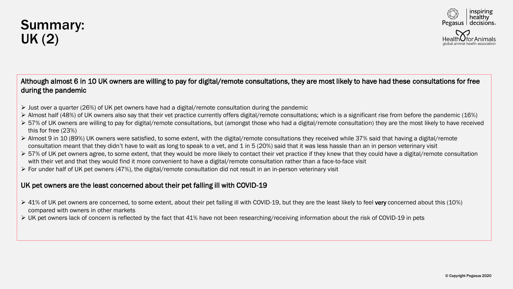# Summary: UK (2)



#### Although almost 6 in 10 UK owners are willing to pay for digital/remote consultations, they are most likely to have had these consultations for free during the pandemic

- $\triangleright$  Just over a quarter (26%) of UK pet owners have had a digital/remote consultation during the pandemic
- ➢ Almost half (48%) of UK owners also say that their vet practice currently offers digital/remote consultations; which is a significant rise from before the pandemic (16%)
- ➢ 57% of UK owners are willing to pay for digital/remote consultations, but (amongst those who had a digital/remote consultation) they are the most likely to have received this for free (23%)
- ➢ Almost 9 in 10 (89%) UK owners were satisfied, to some extent, with the digital/remote consultations they received while 37% said that having a digital/remote consultation meant that they didn't have to wait as long to speak to a vet, and 1 in 5 (20%) said that it was less hassle than an in person veterinary visit
- ➢ 57% of UK pet owners agree, to some extent, that they would be more likely to contact their vet practice if they knew that they could have a digital/remote consultation with their vet and that they would find it more convenient to have a digital/remote consultation rather than a face-to-face visit
- $\triangleright$  For under half of UK pet owners (47%), the digital/remote consultation did not result in an in-person veterinary visit

#### UK pet owners are the least concerned about their pet falling ill with COVID-19

- ➢ 41% of UK pet owners are concerned, to some extent, about their pet falling ill with COVID-19, but they are the least likely to feel very concerned about this (10%) compared with owners in other markets
- ➢ UK pet owners lack of concern is reflected by the fact that 41% have not been researching/receiving information about the risk of COVID-19 in pets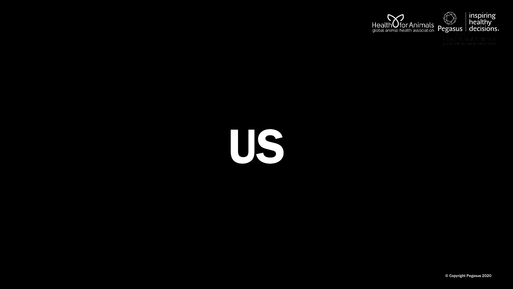

# US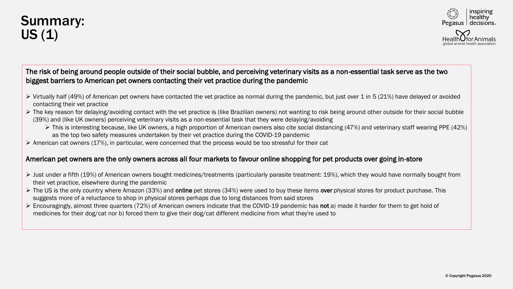# Summary: US (1)

'egasus | decisions.

#### The risk of being around people outside of their social bubble, and perceiving veterinary visits as a non-essential task serve as the two biggest barriers to American pet owners contacting their vet practice during the pandemic

- ➢ Virtually half (49%) of American pet owners have contacted the vet practice as normal during the pandemic, but just over 1 in 5 (21%) have delayed or avoided contacting their vet practice
- ➢ The key reason for delaying/avoiding contact with the vet practice is (like Brazilian owners) not wanting to risk being around other outside for their social bubble (39%) and (like UK owners) perceiving veterinary visits as a non-essential task that they were delaying/avoiding
	- ➢ This is interesting because, like UK owners, a high proportion of American owners also cite social distancing (47%) and veterinary staff wearing PPE (42%) as the top two safety measures undertaken by their vet practice during the COVID-19 pandemic
- ➢ American cat owners (17%), in particular, were concerned that the process would be too stressful for their cat

#### American pet owners are the only owners across all four markets to favour online shopping for pet products over going in-store

- ➢ Just under a fifth (19%) of American owners bought medicines/treatments (particularly parasite treatment: 19%), which they would have normally bought from their vet practice, elsewhere during the pandemic
- ➢ The US is the only country where Amazon (33%) and online pet stores (34%) were used to buy these items over physical stores for product purchase. This suggests more of a reluctance to shop in physical stores perhaps due to long distances from said stores
- ➢ Encouragingly, almost three quarters (72%) of American owners indicate that the COVID-19 pandemic has not a) made it harder for them to get hold of medicines for their dog/cat nor b) forced them to give their dog/cat different medicine from what they're used to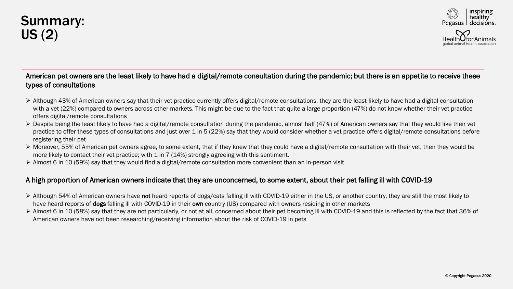# Summary: US (2)

healthy<sup>-</sup> Pegasus | decisions.

#### American pet owners are the least likely to have had a digital/remote consultation during the pandemic; but there is an appetite to receive these types of consultations

- ➢ Although 43% of American owners say that their vet practice currently offers digital/remote consultations, they are the least likely to have had a digital consultation with a vet (22%) compared to owners across other markets. This might be due to the fact that quite a large proportion (47%) do not know whether their vet practice offers digital/remote consultations
- ➢ Despite being the least likely to have had a digital/remote consultation during the pandemic, almost half (47%) of American owners say that they would like their vet practice to offer these types of consultations and just over 1 in 5 (22%) say that they would consider whether a vet practice offers digital/remote consultations before registering their pet
- ➢ Moreover, 55% of American pet owners agree, to some extent, that if they knew that they could have a digital/remote consultation with their vet, then they would be more likely to contact their vet practice; with 1 in 7 (14%) strongly agreeing with this sentiment.
- ➢ Almost 6 in 10 (59%) say that they would find a digital/remote consultation more convenient than an in-person visit

#### A high proportion of American owners indicate that they are unconcerned, to some extent, about their pet falling ill with COVID-19

- ➢ Although 54% of American owners have not heard reports of dogs/cats falling ill with COVID-19 either in the US, or another country, they are still the most likely to have heard reports of **dogs** falling ill with COVID-19 in their own country (US) compared with owners residing in other markets
- ➢ Almost 6 in 10 (58%) say that they are not particularly, or not at all, concerned about their pet becoming ill with COVID-19 and this is reflected by the fact that 36% of American owners have not been researching/receiving information about the risk of COVID-19 in pets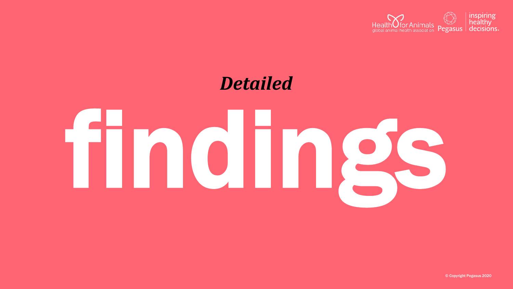

# *Detailed*

# findings

© Copyright Pegasus 2020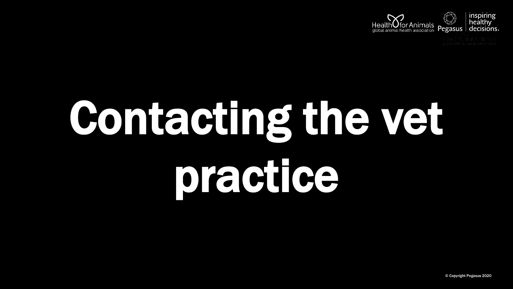

# Contacting the vet practice

© Copyright Pegasus 2020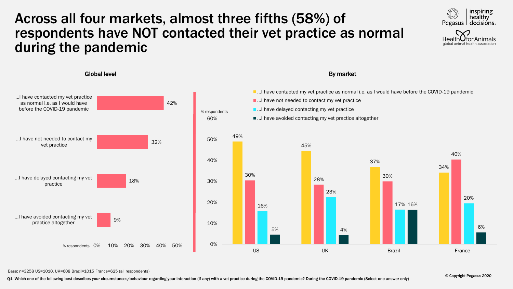#### Across all four markets, almost three fifths (58%) of respondents have NOT contacted their vet practice as normal during the pandemic





Base: n=3258 US=1010, UK=608 Brazil=1015 France=625 (all respondents)

Q1. Which one of the following best describes your circumstances/behaviour regarding your interaction (if any) with a vet practice during the COVID-19 pandemic? During the COVID-19 pandemic (Select one answer only)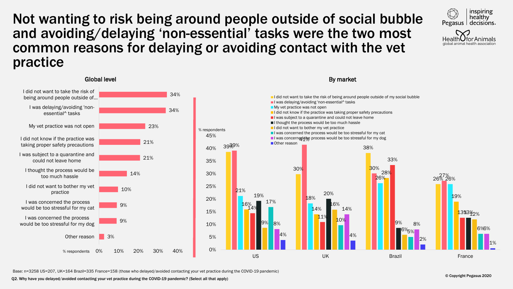#### Not wanting to risk being around people outside of social bubble and avoiding/delaying 'non-essential' tasks were the two most common reasons for delaying or avoiding contact with the vet practice



Global level **By market** % respondents % respondents 3% 9% 9% 10% 14% 21% 21% 23% 34% 34% 0% 10% 20% 30% 40% Other reason I was concerned the process would be too stressful for my dog I was concerned the process would be too stressful for my cat I did not want to bother my vet practice I thought the process would be too much hassle I was subject to a quarantine and could not leave home I did not know if the practice was taking proper safety precautions My vet practice was not open I was delaying/avoiding 'nonessential^ tasks I did not want to take the risk of being around people outside of… 39% 39% 30% 38% 26% 26% 26% 26% 26% l was concerned the process would be too stressful for my dog 30% 21% 18% 16% 14% 28% 19%  $14%$  $11%$ 33% <mark>13%31%</mark> 19% 20% 9% 9% 16% 6% 17% 10% 5% 6% 6% 8%  $14%$ 8% 6%6% 4% 4% 2% 0% 5% 10% 15% 20% 25% 30% 35% 40% 45% US UK Brazil France  $\blacksquare$ I did not want to take the risk of being around people outside of my social bubble I was delaying/avoiding 'non-essential^ tasks My vet practice was not open  $\blacksquare$ I did not know if the practice was taking proper safety precautions  $\blacksquare$  I was subject to a quarantine and could not leave home I thought the process would be too much hassle I did not want to bother my vet practice  $\blacksquare$  I was concerned the process would be too stressful for my cat Other reason

Base: n=3258 US=207, UK=164 Brazil=335 France=158 (those who delayed/avoided contacting your vet practice during the COVID-19 pandemic)

Q2. Why have you delayed/avoided contacting your vet practice during the COVID-19 pandemic? (Select all that apply)

1%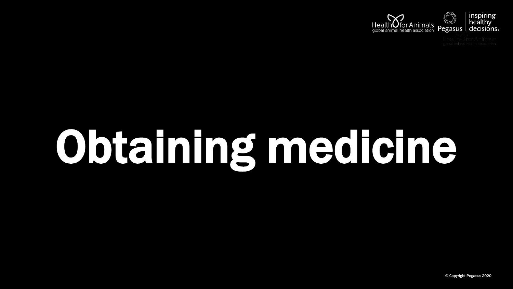

# Obtaining medicine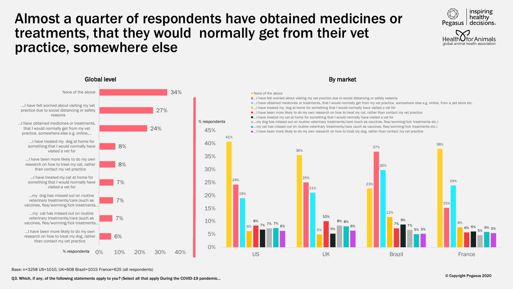## Almost a quarter of respondents have obtained medicines or treatments, that they would normally get from their vet practice, somewhere else







Base: n=3258 US=1010, UK=608 Brazil=1015 France=625 (all respondents)

Q3. Which, if any, of the following statements apply to you? (Select all that apply During the COVID-19 pandemic…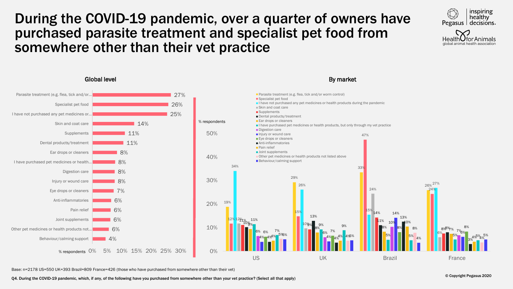# During the COVID-19 pandemic, over a quarter of owners have purchased parasite treatment and specialist pet food from somewhere other than their vet practice



#### % respondents  $0\%$ % respondents 4% 6% 6% 6% 6% 7% 8% 8% 8% 8% 11% 11% 14% 25% 26% 27% 0% 5% 10% 15% 20% 25% 30% Behaviour/calming support Other pet medicines or health products not... Joint supplements Pain relief Anti-inflammatories Eye drops or cleaners Injury or wound care Digestion care I have purchased pet medicines or health… Ear drops or cleaners Dental products/treatment **Supplements** Skin and coat care I have not purchased any pet medicines or… Specialist pet food Parasite treatment (e.g. flea, tick and/or… 19% 29% 33% 12% 15% 47% 34% 26% 15% 12% 10% 24% 11% 9% 14% 10% 13% 11% 9% 8% 7<sub>3%</sub> 7% 1 8% 8% 8% 8% 8% 8%% 11% 9% 5% 5% ... **10 <sup>00</sup> 10 5**% 6% 6% <sup>7%</sup> <sub>5% %</sub> 1 1 5% 10% 4% 4% 14% 6% 7% 6% 8% 8% 8% 8% 4% <u>2005 10 10 10 10 10 1</u>0 12 13 14 13% 4% 4% 10% 7% 9% 5% 5% 5% 4%  $\frac{5\%}{2}$  ,  $\frac{1}{2}$  ,  $\frac{1}{2}$  ,  $\frac{1}{2}$  ,  $\frac{1}{4}$  ,  $\frac{4\%}{4}$  ,  $\frac{4\%}{4}$  ,  $\frac{4\%}{4}$  ,  $\frac{4\%}{4}$  ,  $\frac{4\%}{4}$  ,  $\frac{4\%}{4}$  ,  $\frac{4\%}{4}$  ,  $\frac{4\%}{4}$  ,  $\frac{4\%}{4}$  ,  $\frac{4\%}{4}$  ,  $\frac{4\%}{4}$  ,  $\frac{4$ 0% 10% 20% 30% 40% 50% **Parasite treatment (e.g. flea, tick and/or worm control)** Specialist pet food  $\blacksquare$ I have not purchased any pet medicines or health products during the pandemic Skin and coat care **Supplements** Dental products/treatment Ear drops or cleaners I have purchased pet medicines or health products, but only through my vet practice Digestion care Injury or wound care Eve drops or cleaners Anti-inflammatories **Pain relief Joint supplements** Other pet medicines or health products not listed above Behaviour/calming support

#### Global level **By market**

US **UK** Brazil **Example 19 UK** Brazil **Example 20 Brazil** France

Base: n=2178 US=550 UK=393 Brazil=809 France=426 (those who have purchased from somewhere other than their vet)

Q4. During the COVID-19 pandemic, which, if any, of the following have you purchased from somewhere other than your vet practice? (Select all that apply)

3%

4%

4%

5%

26% 27%

24%

8%

6%

8%

8%

7%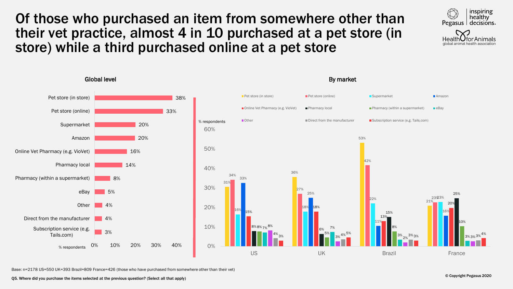Of those who purchased an item from somewhere other than their vet practice, almost 4 in 10 purchased at a pet store (in store) while a third purchased online at a pet store



Base: n=2178 US=550 UK=393 Brazil=809 France=426 (those who have purchased from somewhere other than their vet)

Tails.com)

21%

20%

25%

10%

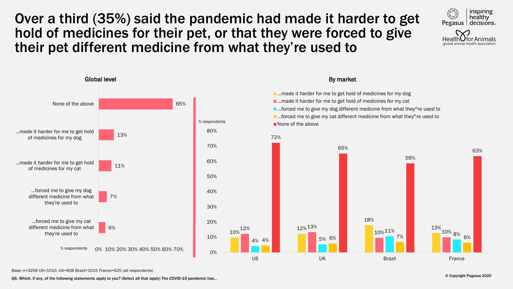# Over a third (35%) said the pandemic had made it harder to get hold of medicines for their pet, or that they were forced to give their pet different medicine from what they're used to







Base: n=3258 US=1010, UK=608 Brazil=1015 France=625 (all respondents)

Q6. Which, if any, of the following statements apply to you? (Select all that apply) The COVID-19 pandemic has…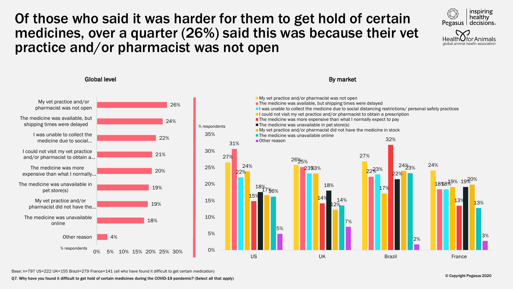# Of those who said it was harder for them to get hold of certain medicines, over a quarter (26%) said this was because their vet practice and/or pharmacist was not open



Global level **By market** % respondents % respondents 4% 18% 19% 19% 20% 21% 22% 24% 26% 0% 5% 10% 15% 20% 25% 30% Other reason The medicine was unavailable online My vet practice and/or pharmacist did not have the… The medicine was unavailable in pet store(s) The medicine was more expensive than what I normally… I could not visit my vet practice and/or pharmacist to obtain a… I was unable to collect the medicine due to social… The medicine was available, but shipping times were delayed My vet practice and/or pharmacist was not open  $27\%$  26% 27% 27% 27% 31% 23%3% 22<sup>23%</sup> 22%  $24\%$  23% 17% **15% 14% 14% 14%** 32%  $18\%$ <sub>70</sub>,  $18\%$ 22% <u>1</u>7%  $12\%$ 24% 23% <u>11</u>6% 14% 5% 7% 2% 3% 0% 5% 10% 15% 20% 25% 30% 35% US UK Brazil France My vet practice and/or pharmacist was not open  $\blacksquare$  The medicine was available, but shipping times were delayed I was unable to collect the medicine due to social distancing restrictions/ personal safety practices  $\blacksquare$ I could not visit my vet practice and/or pharmacist to obtain a prescription ■ The medicine was more expensive than what I normally expect to pay The medicine was unavailable in pet store(s) My vet practice and/or pharmacist did not have the medicine in stock ■ The medicine was unavailable online Other reason

Base: n=797 US=222 UK=155 Brazil=279 France=141 (all who have found it difficult to get certain medication)

Q7. Why have you found it difficult to get hold of certain medicines during the COVID-19 pandemic? (Select all that apply)

24%

18%849% 19%0%

13%

13%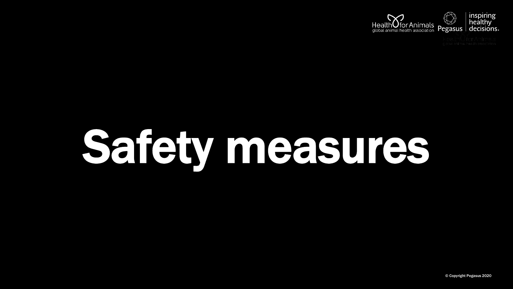

# Safety measures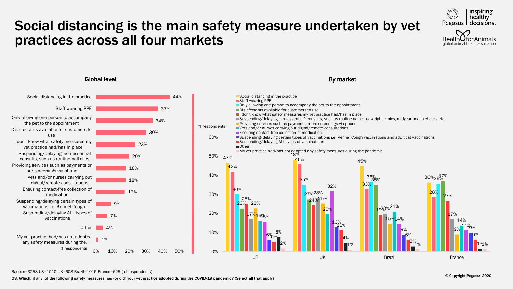# Social distancing is the main safety measure undertaken by vet practices across all four markets





Base: n=3258 US=1010 UK=608 Brazil=1015 France=625 (all respondents)

Q8. Which, if any, of the following safety measures has (or did) your vet practice adopted during the COVID-19 pandemic? (Select all that apply)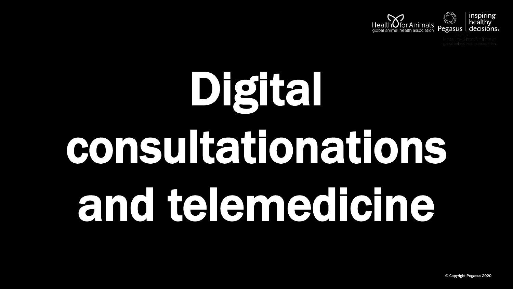

Digital consultationations and telemedicine

© Copyright Pegasus 2020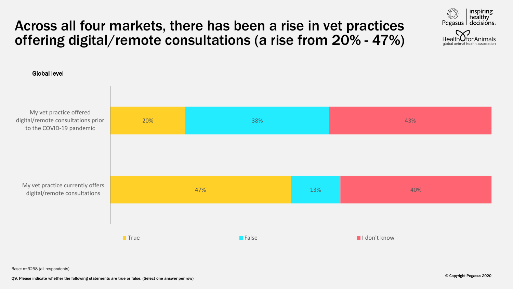## Across all four markets, there has been a rise in vet practices offering digital/remote consultations (a rise from 20% - 47%)



Base: n=3258 (all respondents)

inspiring healthy

Pegasus decisions.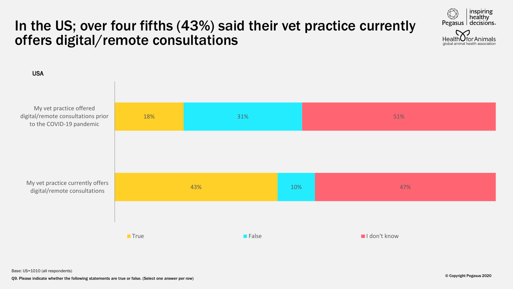# In the US; over four fifths (43%) said their vet practice currently offers digital/remote consultations





Base: US=1010 (all respondents)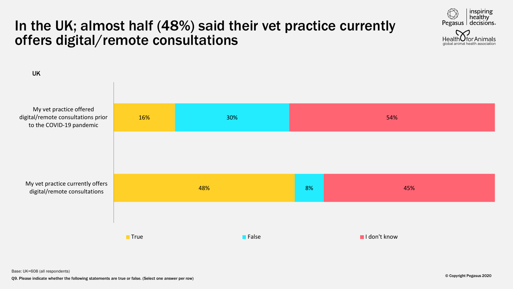# In the UK; almost half (48%) said their vet practice currently offers digital/remote consultations





Base: UK=608 (all respondents)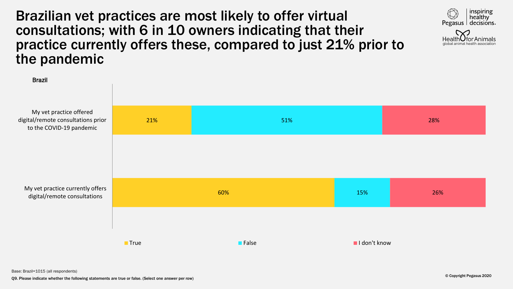#### Brazilian vet practices are most likely to offer virtual consultations; with 6 in 10 owners indicating that their practice currently offers these, compared to just 21% prior to the pandemic



ınspırıng healthy<sup>-</sup>

Pegasus decisions.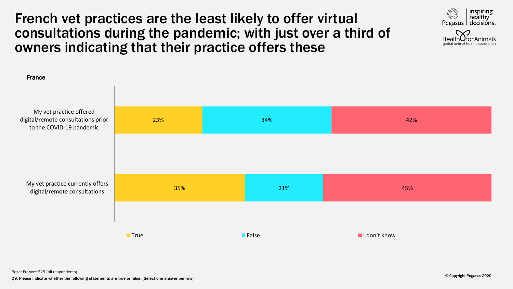# French vet practices are the least likely to offer virtual consultations during the pandemic; with just over a third of owners indicating that their practice offers these



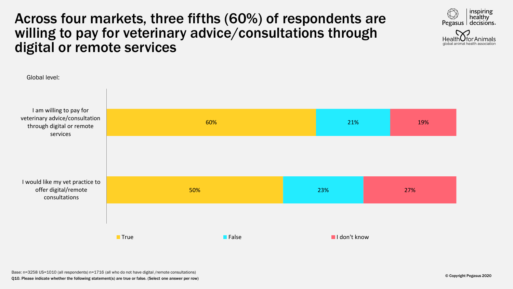## Across four markets, three fifths (60%) of respondents are willing to pay for veterinary advice/consultations through digital or remote services



inspiring healthy

Pegasus decisions.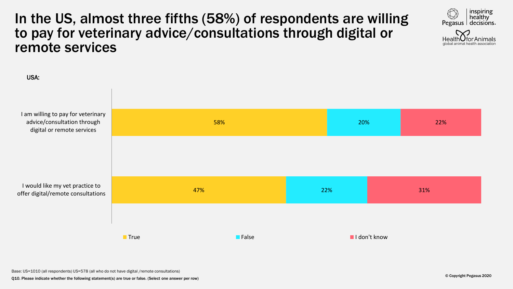#### In the US, almost three fifths (58%) of respondents are willing to pay for veterinary advice/consultations through digital or remote services



Base: US=1010 (all respondents) US=578 (all who do not have digital /remote consultations)

inspiring healthy

Pegasus decisions.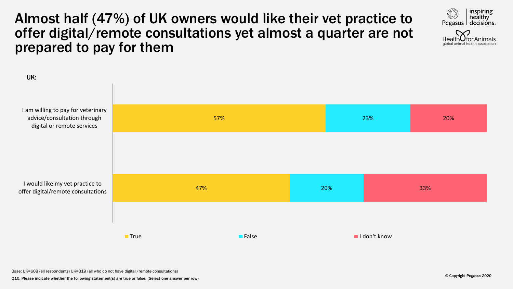## Almost half (47%) of UK owners would like their vet practice to offer digital/remote consultations yet almost a quarter are not prepared to pay for them





Base: UK=608 (all respondents) UK=319 (all who do not have digital /remote consultations)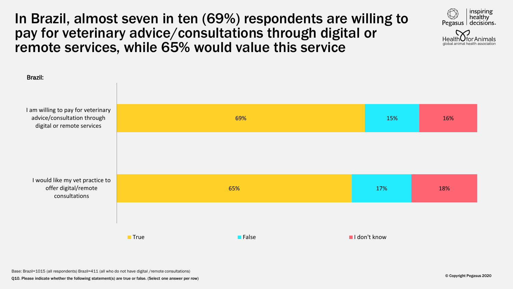In Brazil, almost seven in ten (69%) respondents are willing to pay for veterinary advice/consultations through digital or remote services, while 65% would value this service



inspiring healthy

Pegasus decisions.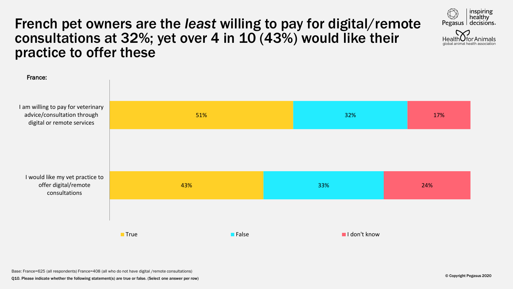## French pet owners are the *least* willing to pay for digital/remote consultations at 32%; yet over 4 in 10 (43%) would like their practice to offer these





Base: France=625 (all respondents) France=408 (all who do not have digital /remote consultations)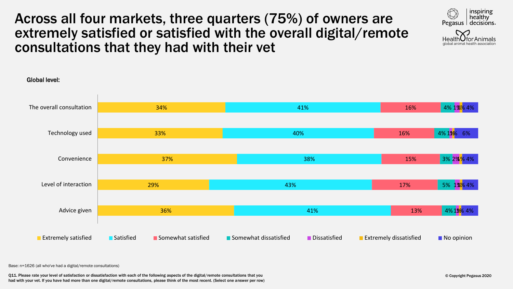# Across all four markets, three quarters (75%) of owners are extremely satisfied or satisfied with the overall digital/remote consultations that they had with their vet





Global level:

Base: n=1626 (all who've had a digital/remote consultations)

Q11. Please rate your level of satisfaction or dissatisfaction with each of the following aspects of the digital/remote consultations that you had with your vet. If you have had more than one digital/remote consultations, please think of the most recent. (Select one answer per row)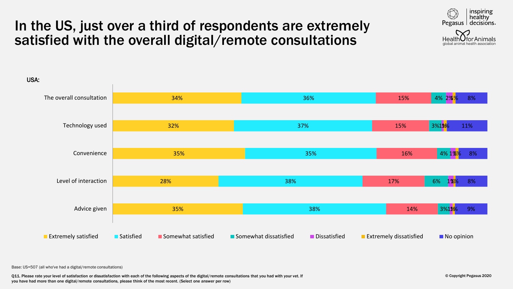# In the US, just over a third of respondents are extremely satisfied with the overall digital/remote consultations



Base: US=507 (all who've had a digital/remote consultations)

Q11. Please rate your level of satisfaction or dissatisfaction with each of the following aspects of the digital/remote consultations that you had with your vet. If you have had more than one digital/remote consultations, please think of the most recent. (Select one answer per row)

inspiring healthy

Pegasus | decisions.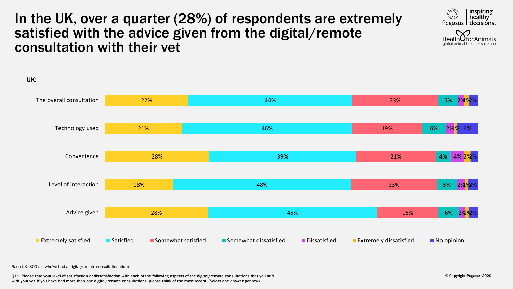## In the UK, over a quarter (28%) of respondents are extremely satisfied with the advice given from the digital/remote consultation with their vet



Base UK=300 (all who've had a digital/remote consultationation)

Q11. Please rate your level of satisfaction or dissatisfaction with each of the following aspects of the digital/remote consultations that you had with your vet. If you have had more than one digital/remote consultations, please think of the most recent. (Select one answer per row)

inspiring healthy

Pegasus decisions.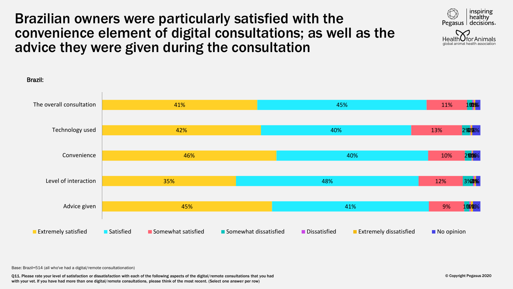# Brazilian owners were particularly satisfied with the convenience element of digital consultations; as well as the advice they were given during the consultation



#### 45% 35% 46% 42% 41% 41% 48% 40% 40% 45% 9% 12% 10% 13% 11% 1% 0% 1%2% 3% <mark>1%</mark> 2**%%** 2%D<mark>%2%</mark> 1% 0% 1% Advice given Level of interaction Convenience Technology used The overall consultation **Extremely satisfied** Satisfied Somewhat satisfied Somewhat dissatisfied Dissatisfied Extremely dissatisfied No opinion

Brazil:

Base: Brazil=514 (all who've had a digital/remote consultationation)

Q11. Please rate your level of satisfaction or dissatisfaction with each of the following aspects of the digital/remote consultations that you had with your vet. If you have had more than one digital/remote consultations, please think of the most recent. (Select one answer per row)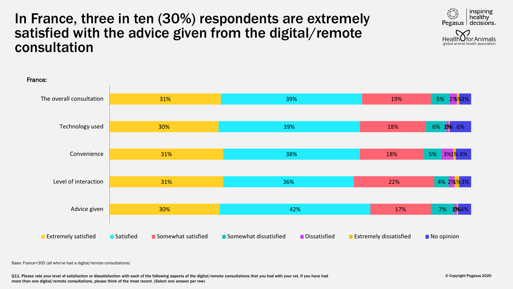### In France, three in ten (30%) respondents are extremely satisfied with the advice given from the digital/remote consultation





Base: France=305 (all who've had a digital/remote consultations)

Q11. Please rate your level of satisfaction or dissatisfaction with each of the following aspects of the digital/remote consultations that you had with your vet. If you have had more than one digital/remote consultations, please think of the most recent. (Select one answer per row)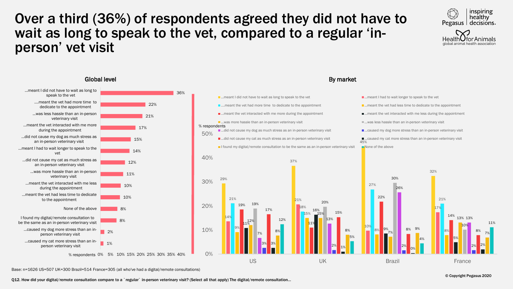## Over a third (36%) of respondents agreed they did not have to wait as long to speak to the vet, compared to a regular 'inperson' vet visit





Base: n=1626 US=507 UK=300 Brazil=514 France=305 (all who've had a digital/remote consultations)

Q12. How did your digital/remote consultation compare to a `regular` in-person veterinary visit? (Select all that apply) The digital/remote consultation...

#### © Copyright Pegasus 2020

2%

7%

11%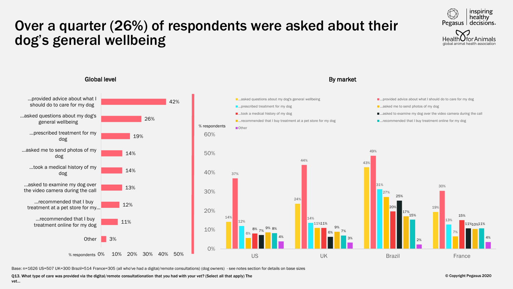# Over a quarter (26%) of respondents were asked about their dog's general wellbeing





Base: n=1626 US=507 UK=300 Brazil=514 France=305 (all who've had a digital/remote consultations) (dog owners) - see notes section for details on base sizes

Q13. What type of care was provided via the digital/remote consultationation that you had with your vet? (Select all that apply) The

vet…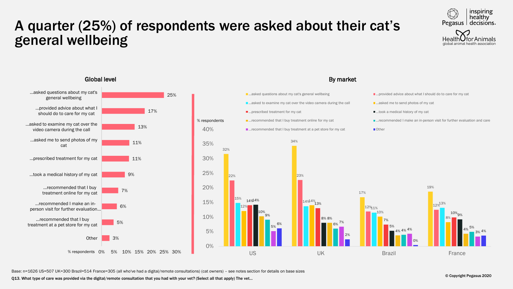# A quarter (25%) of respondents were asked about their cat's general wellbeing





Base: n=1626 US=507 UK=300 Brazil=514 France=305 (all who've had a digital/remote consultations) (cat owners) – see notes section for details on base sizes

Q13. What type of care was provided via the digital/remote consultation that you had with your vet? (Select all that apply) The vet…

#### © Copyright Pegasus 2020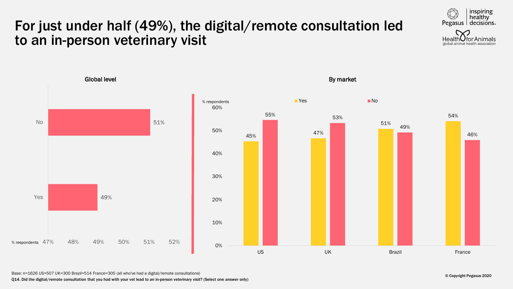#### inspiring healthy Pegasus decisions. For just under half (49%), the digital/remote consultation led



US UK Brazil France

# % respondents 47% 49% 51% 47% 48% 49% 50% 51% 52% Yes No

0% 10% 20%

Q14. Did the digital/remote consultation that you had with your vet lead to an in-person veterinary visit? (Select one answer only) Base: n=1626 US=507 UK=300 Brazil=514 France=305 (all who've had a digital/remote consultations)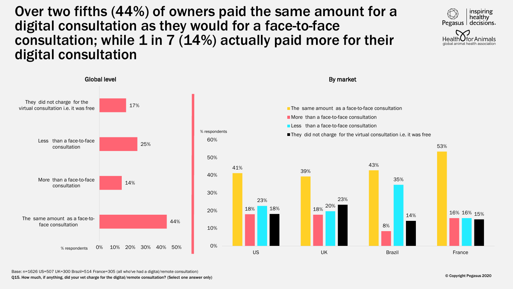#### Over two fifths (44%) of owners paid the same amount for a digital consultation as they would for a face-to-face consultation; while 1 in 7  $(14%)$  actually paid more for their digital consultation



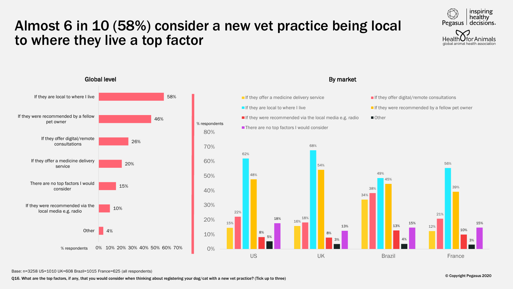# Almost 6 in 10 (58%) consider a new vet practice being local to where they live a top factor





Base: n=3258 US=1010 UK=608 Brazil=1015 France=625 (all respondents)

Q16. What are the top factors, if any, that you would consider when thinking about registering your dog/cat with a new vet practice? (Tick up to three)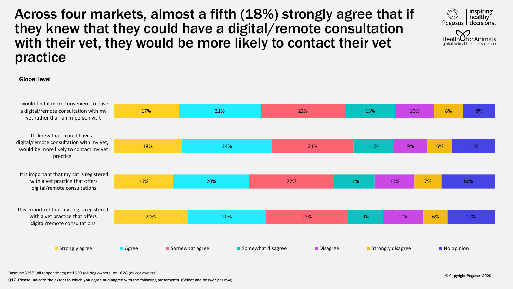Across four markets, almost a fifth (18%) strongly agree that if they knew that they could have a digital/remote consultation with their vet, they would be more likely to contact their vet practice



#### Global level

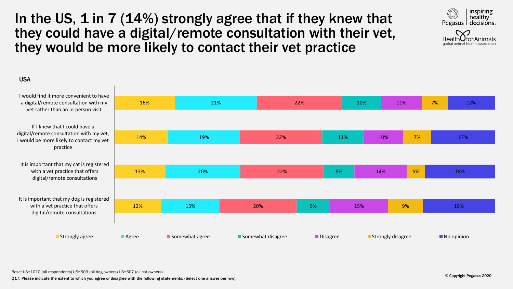# In the US, 1 in 7 (14%) strongly agree that if they knew that they could have a digital/remote consultation with their vet, they would be more likely to contact their vet practice



#### USA

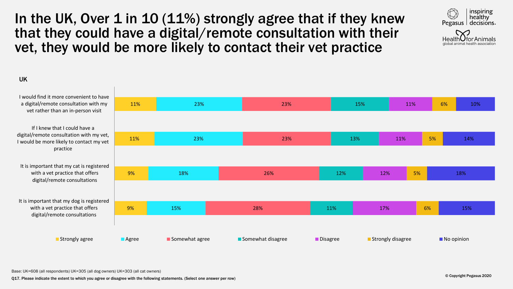# In the UK, Over 1 in 10 (11%) strongly agree that if they knew that they could have a digital/remote consultation with their vet, they would be more likely to contact their vet practice



#### UK

9% 9% 11% 11% 15% 18% 23% 23% 28% 26% 23% 23% 11% 12% 13% 15% 17% 12% 11% 11% 6% 5% 5% 6% 15% 18% 14% 10% It is important that my dog is registered with a vet practice that offers digital/remote consultations It is important that my cat is registered with a vet practice that offers digital/remote consultations If I knew that I could have a digital/remote consultation with my vet, I would be more likely to contact my vet practice I would find it more convenient to have a digital/remote consultation with my vet rather than an in-person visit **Strongly agree Agree Somewhat agree Somewhat agree Somewhat disagree Somewhat disagree Strongly disagree No opinion**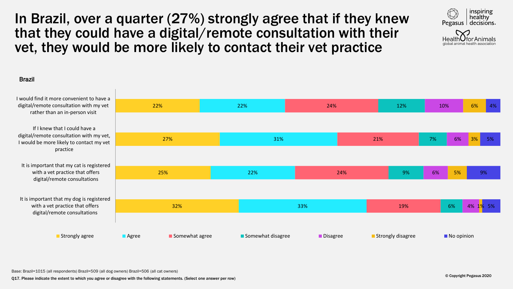In Brazil, over a quarter (27%) strongly agree that if they knew that they could have a digital/remote consultation with their vet, they would be more likely to contact their vet practice



#### Brazil



Base: Brazil=1015 (all respondents) Brazil=509 (all dog owners) Brazil=506 (all cat owners)

Q17. Please indicate the extent to which you agree or disagree with the following statements. (Select one answer per row)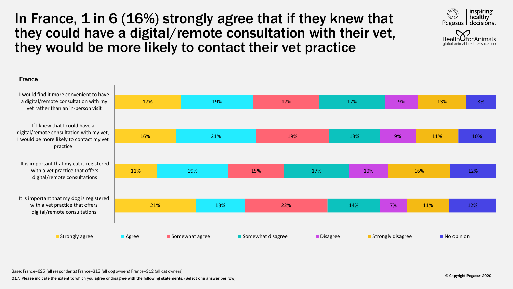# In France, 1 in 6 (16%) strongly agree that if they knew that they could have a digital/remote consultation with their vet, they would be more likely to contact their vet practice



#### France



Base: France=625 (all respondents) France=313 (all dog owners) France=312 (all cat owners)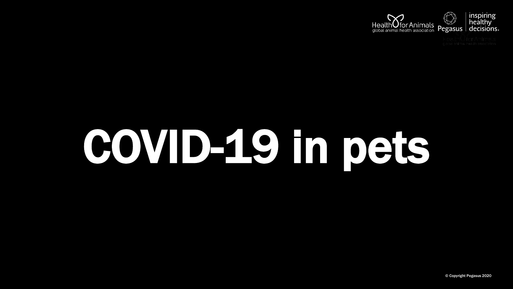

# COVID-19 in pets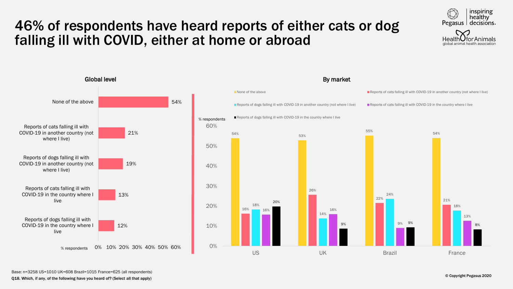# 46% of respondents have heard reports of either cats or dog falling ill with COVID, either at home or abroad





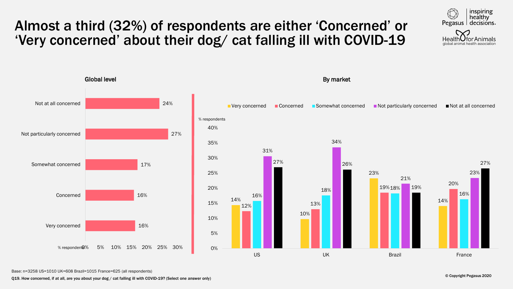# Almost a third (32%) of respondents are either 'Concerned' or 'Very concerned' about their dog/ cat falling ill with COVID-19



Base: n=3258 US=1010 UK=608 Brazil=1015 France=625 (all respondents)

Q19. How concerned, if at all, are you about your dog / cat falling ill with COVID-19? (Select one answer only)

inspiring healthy

Pegasus decisions.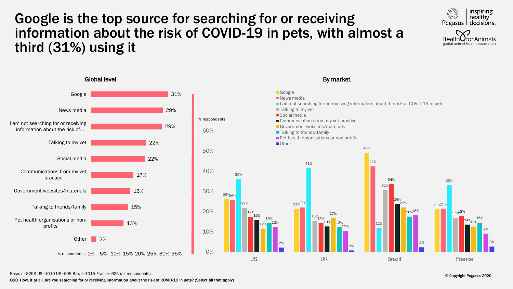# Google is the top source for searching for or receiving information about the risk of COVID-19 in pets, with almost a third (31%) using it

0%

10%

20%

30%

40%

50%

60%







Base: n=3258 US=1010 UK=608 Brazil=1015 France=625 (all respondents)

Q20. How, if at all, are you searching for or receiving information about the risk of COVID-19 in pets? (Select all that apply)